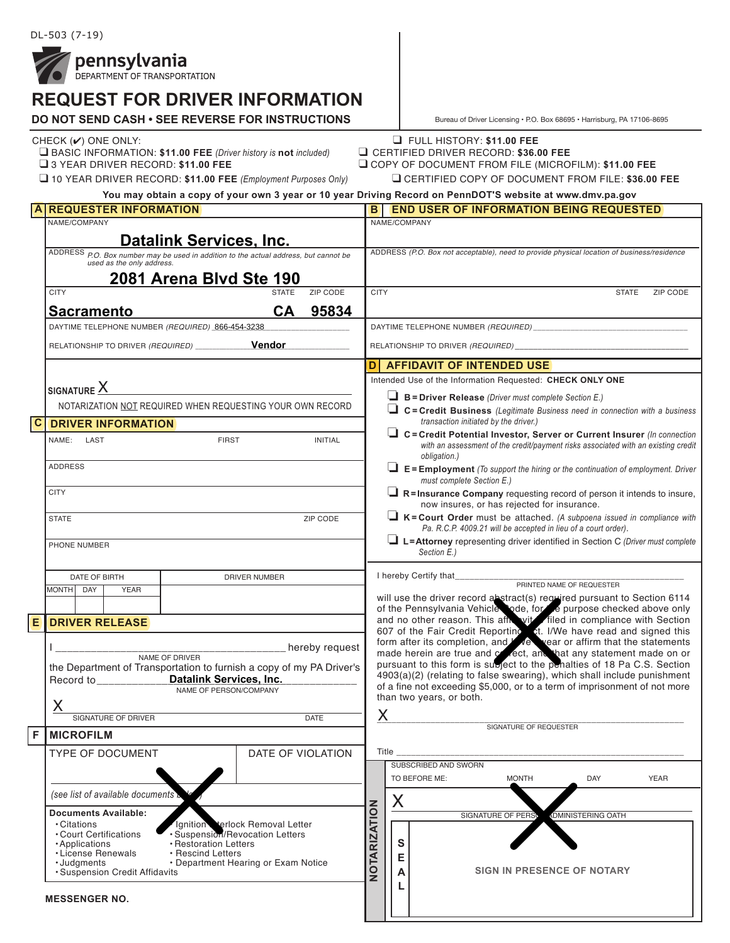

# **REQUEST FOR DRIVER INFORMATION**

| LV I I VI\ PI\I Y LI\ II\I<br><b>DO NOT SEND CASH • SEE REVERSE FOR INSTRUCTIONS</b>                                                                                                                  |                                                                                                                   |                                                                                                                                                                                                                                                                                                                                                                            |                                                                                            |                                                                                                                                                                                                                                                                                                     | Bureau of Driver Licensing . P.O. Box 68695 . Harrisburg, PA 17106-8695                                                                                                             |  |
|-------------------------------------------------------------------------------------------------------------------------------------------------------------------------------------------------------|-------------------------------------------------------------------------------------------------------------------|----------------------------------------------------------------------------------------------------------------------------------------------------------------------------------------------------------------------------------------------------------------------------------------------------------------------------------------------------------------------------|--------------------------------------------------------------------------------------------|-----------------------------------------------------------------------------------------------------------------------------------------------------------------------------------------------------------------------------------------------------------------------------------------------------|-------------------------------------------------------------------------------------------------------------------------------------------------------------------------------------|--|
| CHECK $(V)$ ONE ONLY:<br>$\Box$ BASIC INFORMATION: \$11.00 FEE (Driver history is not included)<br>3 YEAR DRIVER RECORD: \$11.00 FEE<br>10 YEAR DRIVER RECORD: \$11.00 FEE (Employment Purposes Only) |                                                                                                                   |                                                                                                                                                                                                                                                                                                                                                                            |                                                                                            | <b>E</b> FULL HISTORY: \$11.00 FEE<br>CERTIFIED DRIVER RECORD: \$36.00 FEE<br>COPY OF DOCUMENT FROM FILE (MICROFILM): \$11.00 FEE<br>CERTIFIED COPY OF DOCUMENT FROM FILE: \$36.00 FEE<br>You may obtain a copy of your own 3 year or 10 year Driving Record on PennDOT'S website at www.dmv.pa.gov |                                                                                                                                                                                     |  |
|                                                                                                                                                                                                       | <b>REQUESTER INFORMATION</b>                                                                                      | B                                                                                                                                                                                                                                                                                                                                                                          |                                                                                            |                                                                                                                                                                                                                                                                                                     | <b>END USER OF INFORMATION BEING REQUESTED</b>                                                                                                                                      |  |
|                                                                                                                                                                                                       | NAME/COMPANY                                                                                                      |                                                                                                                                                                                                                                                                                                                                                                            |                                                                                            |                                                                                                                                                                                                                                                                                                     | NAME/COMPANY                                                                                                                                                                        |  |
|                                                                                                                                                                                                       | <b>Datalink Services, Inc.</b>                                                                                    |                                                                                                                                                                                                                                                                                                                                                                            |                                                                                            |                                                                                                                                                                                                                                                                                                     |                                                                                                                                                                                     |  |
|                                                                                                                                                                                                       | ADDRESS P.O. Box number may be used in addition to the actual address, but cannot be<br>used as the only address. |                                                                                                                                                                                                                                                                                                                                                                            | ADDRESS (P.O. Box not acceptable), need to provide physical location of business/residence |                                                                                                                                                                                                                                                                                                     |                                                                                                                                                                                     |  |
|                                                                                                                                                                                                       | 2081 Arena Blvd Ste 190                                                                                           |                                                                                                                                                                                                                                                                                                                                                                            |                                                                                            |                                                                                                                                                                                                                                                                                                     |                                                                                                                                                                                     |  |
|                                                                                                                                                                                                       | ZIP CODE<br><b>CITY</b><br><b>STATE</b>                                                                           | <b>CITY</b>                                                                                                                                                                                                                                                                                                                                                                |                                                                                            |                                                                                                                                                                                                                                                                                                     | <b>STATE</b><br>ZIP CODE                                                                                                                                                            |  |
|                                                                                                                                                                                                       | 95834<br><b>CA</b><br><b>Sacramento</b>                                                                           |                                                                                                                                                                                                                                                                                                                                                                            |                                                                                            |                                                                                                                                                                                                                                                                                                     |                                                                                                                                                                                     |  |
|                                                                                                                                                                                                       | DAYTIME TELEPHONE NUMBER (REQUIRED) 866-454-3238                                                                  |                                                                                                                                                                                                                                                                                                                                                                            |                                                                                            |                                                                                                                                                                                                                                                                                                     |                                                                                                                                                                                     |  |
|                                                                                                                                                                                                       | Vendor<br>RELATIONSHIP TO DRIVER (REQUIRED) ___________                                                           | RELATIONSHIP TO DRIVER (REQUIRED)                                                                                                                                                                                                                                                                                                                                          |                                                                                            |                                                                                                                                                                                                                                                                                                     |                                                                                                                                                                                     |  |
|                                                                                                                                                                                                       |                                                                                                                   |                                                                                                                                                                                                                                                                                                                                                                            |                                                                                            |                                                                                                                                                                                                                                                                                                     |                                                                                                                                                                                     |  |
|                                                                                                                                                                                                       |                                                                                                                   | <b>AFFIDAVIT OF INTENDED USE</b><br>DI                                                                                                                                                                                                                                                                                                                                     |                                                                                            |                                                                                                                                                                                                                                                                                                     |                                                                                                                                                                                     |  |
|                                                                                                                                                                                                       |                                                                                                                   |                                                                                                                                                                                                                                                                                                                                                                            | Intended Use of the Information Requested: CHECK ONLY ONE                                  |                                                                                                                                                                                                                                                                                                     |                                                                                                                                                                                     |  |
|                                                                                                                                                                                                       | signature ${\mathsf X}$                                                                                           |                                                                                                                                                                                                                                                                                                                                                                            |                                                                                            | $\Box$ B = Driver Release (Driver must complete Section E.)                                                                                                                                                                                                                                         |                                                                                                                                                                                     |  |
|                                                                                                                                                                                                       | NOTARIZATION NOT REQUIRED WHEN REQUESTING YOUR OWN RECORD                                                         | $\Box$ C = Credit Business (Legitimate Business need in connection with a business                                                                                                                                                                                                                                                                                         |                                                                                            |                                                                                                                                                                                                                                                                                                     |                                                                                                                                                                                     |  |
| $\overline{c}$                                                                                                                                                                                        | <b>DRIVER INFORMATION</b>                                                                                         |                                                                                                                                                                                                                                                                                                                                                                            | transaction initiated by the driver.)                                                      |                                                                                                                                                                                                                                                                                                     |                                                                                                                                                                                     |  |
|                                                                                                                                                                                                       | <b>FIRST</b><br><b>INITIAL</b><br>NAME: LAST                                                                      |                                                                                                                                                                                                                                                                                                                                                                            |                                                                                            |                                                                                                                                                                                                                                                                                                     | $\Box$ C = Credit Potential Investor, Server or Current Insurer (In connection<br>with an assessment of the credit/payment risks associated with an existing credit<br>obligation.) |  |
|                                                                                                                                                                                                       | <b>ADDRESS</b>                                                                                                    |                                                                                                                                                                                                                                                                                                                                                                            |                                                                                            |                                                                                                                                                                                                                                                                                                     | $\Box$ E = Employment (To support the hiring or the continuation of employment. Driver<br>must complete Section E.)                                                                 |  |
|                                                                                                                                                                                                       | <b>CITY</b>                                                                                                       |                                                                                                                                                                                                                                                                                                                                                                            |                                                                                            |                                                                                                                                                                                                                                                                                                     | $\Box$ R=Insurance Company requesting record of person it intends to insure,<br>now insures, or has rejected for insurance.                                                         |  |
|                                                                                                                                                                                                       | <b>ZIP CODE</b><br><b>STATE</b>                                                                                   |                                                                                                                                                                                                                                                                                                                                                                            |                                                                                            |                                                                                                                                                                                                                                                                                                     | $\Box$ K = Court Order must be attached. (A subpoena issued in compliance with<br>Pa. R.C.P. 4009.21 will be accepted in lieu of a court order).                                    |  |
|                                                                                                                                                                                                       | PHONE NUMBER                                                                                                      |                                                                                                                                                                                                                                                                                                                                                                            |                                                                                            |                                                                                                                                                                                                                                                                                                     | $\Box$ L=Attorney representing driver identified in Section C (Driver must complete<br>Section E.)                                                                                  |  |
|                                                                                                                                                                                                       | DATE OF BIRTH<br>DRIVER NUMBER                                                                                    |                                                                                                                                                                                                                                                                                                                                                                            |                                                                                            |                                                                                                                                                                                                                                                                                                     | I hereby Certify that<br>PRINTED NAME OF REQUESTER                                                                                                                                  |  |
|                                                                                                                                                                                                       | <b>MONTH</b><br><b>YEAR</b><br>DAY                                                                                |                                                                                                                                                                                                                                                                                                                                                                            |                                                                                            |                                                                                                                                                                                                                                                                                                     |                                                                                                                                                                                     |  |
|                                                                                                                                                                                                       |                                                                                                                   | will use the driver record abstract(s) required pursuant to Section 6114<br>of the Pennsylvania Vehicle ode, for the purpose checked above only<br>and no other reason. This affine with filed in compliance with Section 607 of the Fair Credit Reporting et. I/We have read and signed this form after its completion, and $\sqrt{R}$ vear or affirm that the statements |                                                                                            |                                                                                                                                                                                                                                                                                                     |                                                                                                                                                                                     |  |
| Е                                                                                                                                                                                                     | <b>DRIVER RELEASE</b>                                                                                             |                                                                                                                                                                                                                                                                                                                                                                            |                                                                                            |                                                                                                                                                                                                                                                                                                     |                                                                                                                                                                                     |  |
|                                                                                                                                                                                                       |                                                                                                                   |                                                                                                                                                                                                                                                                                                                                                                            |                                                                                            |                                                                                                                                                                                                                                                                                                     |                                                                                                                                                                                     |  |
|                                                                                                                                                                                                       | hereby request<br>NAME OF DRIVER<br>the Department of Transportation to furnish a copy of my PA Driver's          |                                                                                                                                                                                                                                                                                                                                                                            |                                                                                            | made herein are true and contract, and that any statement made on or pursuant to this form is subject to the penalties of 18 Pa C.S. Section                                                                                                                                                        |                                                                                                                                                                                     |  |
|                                                                                                                                                                                                       |                                                                                                                   |                                                                                                                                                                                                                                                                                                                                                                            |                                                                                            |                                                                                                                                                                                                                                                                                                     |                                                                                                                                                                                     |  |
|                                                                                                                                                                                                       | Record to ___________ Datalink Services, Inc.                                                                     | 4903(a)(2) (relating to false swearing), which shall include punishment<br>of a fine not exceeding \$5,000, or to a term of imprisonment of not more                                                                                                                                                                                                                       |                                                                                            |                                                                                                                                                                                                                                                                                                     |                                                                                                                                                                                     |  |
|                                                                                                                                                                                                       | NAME OF PERSON/COMPANY<br>Χ                                                                                       | than two years, or both.                                                                                                                                                                                                                                                                                                                                                   |                                                                                            |                                                                                                                                                                                                                                                                                                     |                                                                                                                                                                                     |  |
|                                                                                                                                                                                                       |                                                                                                                   |                                                                                                                                                                                                                                                                                                                                                                            | X.                                                                                         |                                                                                                                                                                                                                                                                                                     |                                                                                                                                                                                     |  |
|                                                                                                                                                                                                       | <b>SIGNATURE OF DRIVER</b><br><b>DATE</b>                                                                         | SIGNATURE OF REQUESTER                                                                                                                                                                                                                                                                                                                                                     |                                                                                            |                                                                                                                                                                                                                                                                                                     |                                                                                                                                                                                     |  |
| F                                                                                                                                                                                                     | <b>MICROFILM</b>                                                                                                  |                                                                                                                                                                                                                                                                                                                                                                            |                                                                                            |                                                                                                                                                                                                                                                                                                     |                                                                                                                                                                                     |  |
|                                                                                                                                                                                                       | <b>TYPE OF DOCUMENT</b><br>DATE OF VIOLATION                                                                      |                                                                                                                                                                                                                                                                                                                                                                            |                                                                                            | Title $\_\_$                                                                                                                                                                                                                                                                                        |                                                                                                                                                                                     |  |
|                                                                                                                                                                                                       |                                                                                                                   |                                                                                                                                                                                                                                                                                                                                                                            |                                                                                            |                                                                                                                                                                                                                                                                                                     | SUBSCRIBED AND SWORN                                                                                                                                                                |  |
|                                                                                                                                                                                                       |                                                                                                                   |                                                                                                                                                                                                                                                                                                                                                                            |                                                                                            |                                                                                                                                                                                                                                                                                                     | TO BEFORE ME:<br><b>MONTH</b><br>DAY<br><b>YEAR</b>                                                                                                                                 |  |
|                                                                                                                                                                                                       | (see list of available documents b                                                                                |                                                                                                                                                                                                                                                                                                                                                                            |                                                                                            | X                                                                                                                                                                                                                                                                                                   |                                                                                                                                                                                     |  |
|                                                                                                                                                                                                       | <b>Documents Available:</b><br>• Citations<br>Ignition verlock Removal Letter<br>• Suspension/Revocation Letters  |                                                                                                                                                                                                                                                                                                                                                                            |                                                                                            |                                                                                                                                                                                                                                                                                                     | SIGNATURE OF PERSO<br>ADMINISTERING OATH                                                                                                                                            |  |
|                                                                                                                                                                                                       |                                                                                                                   |                                                                                                                                                                                                                                                                                                                                                                            |                                                                                            |                                                                                                                                                                                                                                                                                                     |                                                                                                                                                                                     |  |
|                                                                                                                                                                                                       | • Court Certifications<br>• Restoration Letters<br>• Applications                                                 |                                                                                                                                                                                                                                                                                                                                                                            |                                                                                            | ${\bf S}$                                                                                                                                                                                                                                                                                           |                                                                                                                                                                                     |  |
|                                                                                                                                                                                                       | • License Renewals<br>• Rescind Letters                                                                           |                                                                                                                                                                                                                                                                                                                                                                            |                                                                                            | Е                                                                                                                                                                                                                                                                                                   |                                                                                                                                                                                     |  |
|                                                                                                                                                                                                       | · Judgments<br>• Department Hearing or Exam Notice<br>· Suspension Credit Affidavits                              | NOTARIZATION                                                                                                                                                                                                                                                                                                                                                               |                                                                                            | A                                                                                                                                                                                                                                                                                                   | <b>SIGN IN PRESENCE OF NOTARY</b>                                                                                                                                                   |  |
|                                                                                                                                                                                                       |                                                                                                                   |                                                                                                                                                                                                                                                                                                                                                                            |                                                                                            |                                                                                                                                                                                                                                                                                                     |                                                                                                                                                                                     |  |
|                                                                                                                                                                                                       | <b>MESSENGER NO.</b>                                                                                              |                                                                                                                                                                                                                                                                                                                                                                            |                                                                                            |                                                                                                                                                                                                                                                                                                     |                                                                                                                                                                                     |  |